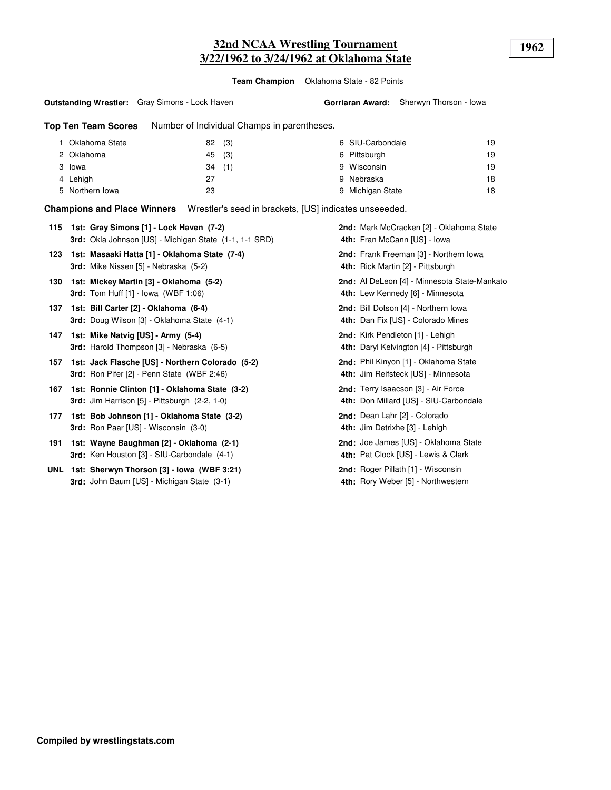**Team Champion** Oklahoma State - 82 Points

#### **Outstanding Wrestler:** Gray Simons - Lock Haven

**3rd:** John Baum [US] - Michigan State (3-1)

**Gorriaran Award:** Sherwyn Thorson - Iowa

4th: Rory Weber [5] - Northwestern

**Top Ten Team Scores** Number of Individual Champs in parentheses.

| Oklahoma State  | (3)<br>82 | 6 SIU-Carbondale     | 19 |
|-----------------|-----------|----------------------|----|
| 2 Oklahoma      | (3)<br>45 | 6 Pittsburgh         | 19 |
| 3 lowa          | (1)<br>34 | 9 Wisconsin          | 19 |
| 4 Lehigh        | 27        | Nebraska<br>9.       | 18 |
| 5 Northern Iowa | 23        | Michigan State<br>9. | 18 |

**Champions and Place Winners** Wrestler's seed in brackets, [US] indicates unseeeded.

|     | 115 1st: Gray Simons [1] - Lock Haven (7-2)<br><b>3rd:</b> Okla Johnson [US] - Michigan State (1-1, 1-1 SRD) | <b>2nd:</b> Mark McCracken [2] - Oklahoma State<br>4th: Fran McCann [US] - Iowa      |
|-----|--------------------------------------------------------------------------------------------------------------|--------------------------------------------------------------------------------------|
| 123 | 1st: Masaaki Hatta [1] - Oklahoma State (7-4)<br>3rd: Mike Nissen [5] - Nebraska (5-2)                       | 2nd: Frank Freeman [3] - Northern Iowa<br>4th: Rick Martin [2] - Pittsburgh          |
| 130 | 1st: Mickey Martin [3] - Oklahoma (5-2)<br><b>3rd:</b> Tom Huff $[1]$ - lowa (WBF 1:06)                      | 2nd: Al DeLeon [4] - Minnesota State-Mankato<br>4th: Lew Kennedy [6] - Minnesota     |
| 137 | 1st: Bill Carter [2] - Oklahoma (6-4)<br>3rd: Doug Wilson [3] - Oklahoma State (4-1)                         | 2nd: Bill Dotson [4] - Northern Iowa<br>4th: Dan Fix [US] - Colorado Mines           |
| 147 | 1st: Mike Natvig [US] - Army (5-4)<br><b>3rd:</b> Harold Thompson [3] - Nebraska (6-5)                       | 2nd: Kirk Pendleton [1] - Lehigh<br>4th: Daryl Kelvington [4] - Pittsburgh           |
| 157 | 1st: Jack Flasche [US] - Northern Colorado (5-2)<br><b>3rd:</b> Ron Pifer [2] - Penn State (WBF 2:46)        | 2nd: Phil Kinyon [1] - Oklahoma State<br>4th: Jim Reifsteck [US] - Minnesota         |
|     | 167 1st: Ronnie Clinton [1] - Oklahoma State (3-2)<br>3rd: Jim Harrison [5] - Pittsburgh (2-2, 1-0)          | <b>2nd:</b> Terry Isaacson [3] - Air Force<br>4th: Don Millard [US] - SIU-Carbondale |
| 177 | 1st: Bob Johnson [1] - Oklahoma State (3-2)<br><b>3rd:</b> Ron Paar [US] - Wisconsin (3-0)                   | 2nd: Dean Lahr [2] - Colorado<br>4th: Jim Detrixhe [3] - Lehigh                      |
| 191 | 1st: Wayne Baughman [2] - Oklahoma (2-1)<br><b>3rd:</b> Ken Houston [3] - SIU-Carbondale (4-1)               | 2nd: Joe James [US] - Oklahoma State<br>4th: Pat Clock [US] - Lewis & Clark          |
|     | UNL 1st: Sherwyn Thorson [3] - Iowa (WBF 3:21)                                                               | <b>2nd:</b> Roger Pillath [1] - Wisconsin                                            |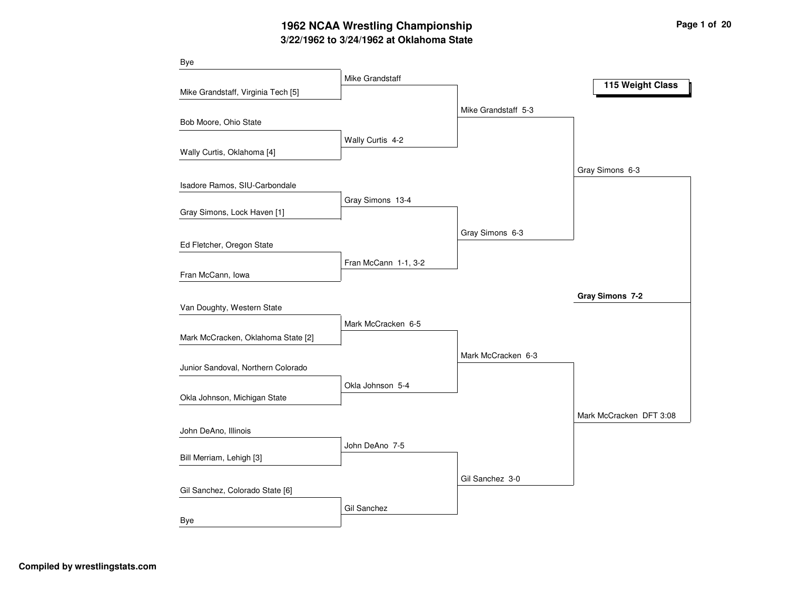# **3/22/1962 to 3/24/1962 at Oklahoma State 1962 NCAA Wrestling Championship Page <sup>1</sup> of <sup>20</sup>**

| Bye                                |                      |                     |                         |
|------------------------------------|----------------------|---------------------|-------------------------|
|                                    | Mike Grandstaff      |                     | 115 Weight Class        |
| Mike Grandstaff, Virginia Tech [5] |                      |                     |                         |
|                                    |                      | Mike Grandstaff 5-3 |                         |
| Bob Moore, Ohio State              |                      |                     |                         |
|                                    | Wally Curtis 4-2     |                     |                         |
| Wally Curtis, Oklahoma [4]         |                      |                     |                         |
|                                    |                      |                     | Gray Simons 6-3         |
| Isadore Ramos, SIU-Carbondale      |                      |                     |                         |
| Gray Simons, Lock Haven [1]        | Gray Simons 13-4     |                     |                         |
|                                    |                      |                     |                         |
|                                    |                      | Gray Simons 6-3     |                         |
| Ed Fletcher, Oregon State          |                      |                     |                         |
| Fran McCann, Iowa                  | Fran McCann 1-1, 3-2 |                     |                         |
|                                    |                      |                     |                         |
|                                    |                      |                     | Gray Simons 7-2         |
| Van Doughty, Western State         |                      |                     |                         |
| Mark McCracken, Oklahoma State [2] | Mark McCracken 6-5   |                     |                         |
|                                    |                      |                     |                         |
| Junior Sandoval, Northern Colorado |                      | Mark McCracken 6-3  |                         |
|                                    |                      |                     |                         |
| Okla Johnson, Michigan State       | Okla Johnson 5-4     |                     |                         |
|                                    |                      |                     | Mark McCracken DFT 3:08 |
| John DeAno, Illinois               |                      |                     |                         |
|                                    | John DeAno 7-5       |                     |                         |
| Bill Merriam, Lehigh [3]           |                      |                     |                         |
|                                    |                      | Gil Sanchez 3-0     |                         |
| Gil Sanchez, Colorado State [6]    |                      |                     |                         |
|                                    | Gil Sanchez          |                     |                         |
| Bye                                |                      |                     |                         |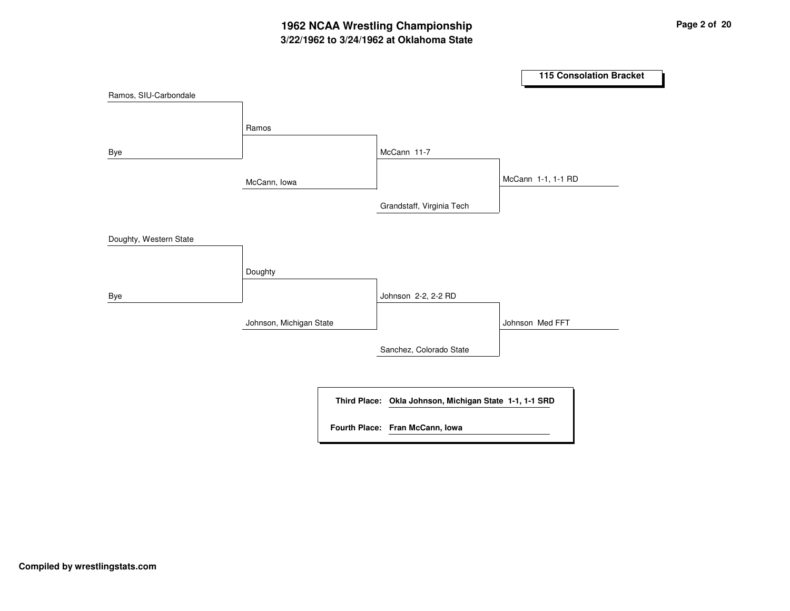# **3/22/1962 to 3/24/1962 at Oklahoma State 1962 NCAA Wrestling Championship Page <sup>2</sup> of <sup>20</sup>**

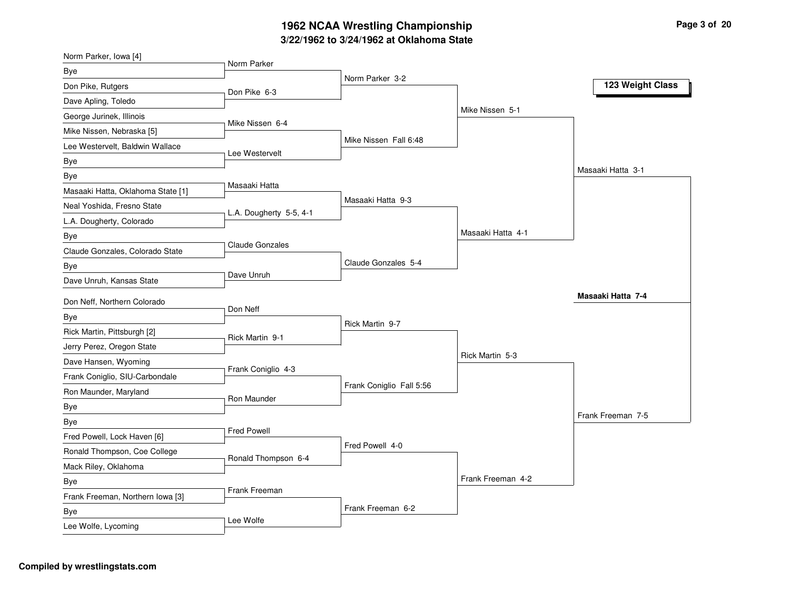| Norm Parker<br>Bye<br>Norm Parker 3-2<br>123 Weight Class<br>Don Pike, Rutgers<br>Don Pike 6-3<br>Dave Apling, Toledo<br>Mike Nissen 5-1<br>George Jurinek, Illinois<br>Mike Nissen 6-4<br>Mike Nissen Fall 6:48<br>Lee Westervelt, Baldwin Wallace<br>Lee Westervelt<br>Masaaki Hatta 3-1<br>Bye<br>Masaaki Hatta<br>Masaaki Hatta 9-3<br>L.A. Dougherty 5-5, 4-1<br>Masaaki Hatta 4-1<br><b>Claude Gonzales</b><br>Claude Gonzales, Colorado State<br>Claude Gonzales 5-4<br>Bye<br>Dave Unruh<br>Dave Unruh, Kansas State<br>Masaaki Hatta 7-4<br>Don Neff, Northern Colorado<br>Don Neff<br>Bye<br>Rick Martin 9-7<br>Rick Martin, Pittsburgh [2]<br>Rick Martin 9-1<br>Jerry Perez, Oregon State<br>Rick Martin 5-3<br>Dave Hansen, Wyoming<br>Frank Coniglio 4-3<br>Frank Coniglio, SIU-Carbondale<br>Frank Coniglio Fall 5:56<br>Ron Maunder, Maryland<br>Ron Maunder<br>Bye<br>Frank Freeman 7-5<br>Bye<br><b>Fred Powell</b><br>Fred Powell, Lock Haven [6] | Norm Parker, Iowa [4]             |                 |  |
|----------------------------------------------------------------------------------------------------------------------------------------------------------------------------------------------------------------------------------------------------------------------------------------------------------------------------------------------------------------------------------------------------------------------------------------------------------------------------------------------------------------------------------------------------------------------------------------------------------------------------------------------------------------------------------------------------------------------------------------------------------------------------------------------------------------------------------------------------------------------------------------------------------------------------------------------------------------------|-----------------------------------|-----------------|--|
|                                                                                                                                                                                                                                                                                                                                                                                                                                                                                                                                                                                                                                                                                                                                                                                                                                                                                                                                                                      |                                   |                 |  |
|                                                                                                                                                                                                                                                                                                                                                                                                                                                                                                                                                                                                                                                                                                                                                                                                                                                                                                                                                                      |                                   |                 |  |
|                                                                                                                                                                                                                                                                                                                                                                                                                                                                                                                                                                                                                                                                                                                                                                                                                                                                                                                                                                      |                                   |                 |  |
|                                                                                                                                                                                                                                                                                                                                                                                                                                                                                                                                                                                                                                                                                                                                                                                                                                                                                                                                                                      |                                   |                 |  |
|                                                                                                                                                                                                                                                                                                                                                                                                                                                                                                                                                                                                                                                                                                                                                                                                                                                                                                                                                                      | Mike Nissen, Nebraska [5]         |                 |  |
|                                                                                                                                                                                                                                                                                                                                                                                                                                                                                                                                                                                                                                                                                                                                                                                                                                                                                                                                                                      |                                   |                 |  |
|                                                                                                                                                                                                                                                                                                                                                                                                                                                                                                                                                                                                                                                                                                                                                                                                                                                                                                                                                                      | Bye                               |                 |  |
|                                                                                                                                                                                                                                                                                                                                                                                                                                                                                                                                                                                                                                                                                                                                                                                                                                                                                                                                                                      |                                   |                 |  |
|                                                                                                                                                                                                                                                                                                                                                                                                                                                                                                                                                                                                                                                                                                                                                                                                                                                                                                                                                                      | Masaaki Hatta, Oklahoma State [1] |                 |  |
|                                                                                                                                                                                                                                                                                                                                                                                                                                                                                                                                                                                                                                                                                                                                                                                                                                                                                                                                                                      | Neal Yoshida, Fresno State        |                 |  |
|                                                                                                                                                                                                                                                                                                                                                                                                                                                                                                                                                                                                                                                                                                                                                                                                                                                                                                                                                                      | L.A. Dougherty, Colorado          |                 |  |
|                                                                                                                                                                                                                                                                                                                                                                                                                                                                                                                                                                                                                                                                                                                                                                                                                                                                                                                                                                      | Bye                               |                 |  |
|                                                                                                                                                                                                                                                                                                                                                                                                                                                                                                                                                                                                                                                                                                                                                                                                                                                                                                                                                                      |                                   |                 |  |
|                                                                                                                                                                                                                                                                                                                                                                                                                                                                                                                                                                                                                                                                                                                                                                                                                                                                                                                                                                      |                                   |                 |  |
|                                                                                                                                                                                                                                                                                                                                                                                                                                                                                                                                                                                                                                                                                                                                                                                                                                                                                                                                                                      |                                   |                 |  |
|                                                                                                                                                                                                                                                                                                                                                                                                                                                                                                                                                                                                                                                                                                                                                                                                                                                                                                                                                                      |                                   |                 |  |
|                                                                                                                                                                                                                                                                                                                                                                                                                                                                                                                                                                                                                                                                                                                                                                                                                                                                                                                                                                      |                                   |                 |  |
|                                                                                                                                                                                                                                                                                                                                                                                                                                                                                                                                                                                                                                                                                                                                                                                                                                                                                                                                                                      |                                   |                 |  |
|                                                                                                                                                                                                                                                                                                                                                                                                                                                                                                                                                                                                                                                                                                                                                                                                                                                                                                                                                                      |                                   |                 |  |
|                                                                                                                                                                                                                                                                                                                                                                                                                                                                                                                                                                                                                                                                                                                                                                                                                                                                                                                                                                      |                                   |                 |  |
|                                                                                                                                                                                                                                                                                                                                                                                                                                                                                                                                                                                                                                                                                                                                                                                                                                                                                                                                                                      |                                   |                 |  |
|                                                                                                                                                                                                                                                                                                                                                                                                                                                                                                                                                                                                                                                                                                                                                                                                                                                                                                                                                                      |                                   |                 |  |
|                                                                                                                                                                                                                                                                                                                                                                                                                                                                                                                                                                                                                                                                                                                                                                                                                                                                                                                                                                      |                                   |                 |  |
|                                                                                                                                                                                                                                                                                                                                                                                                                                                                                                                                                                                                                                                                                                                                                                                                                                                                                                                                                                      |                                   |                 |  |
|                                                                                                                                                                                                                                                                                                                                                                                                                                                                                                                                                                                                                                                                                                                                                                                                                                                                                                                                                                      |                                   |                 |  |
| Ronald Thompson, Coe College                                                                                                                                                                                                                                                                                                                                                                                                                                                                                                                                                                                                                                                                                                                                                                                                                                                                                                                                         |                                   | Fred Powell 4-0 |  |
| Ronald Thompson 6-4                                                                                                                                                                                                                                                                                                                                                                                                                                                                                                                                                                                                                                                                                                                                                                                                                                                                                                                                                  | Mack Riley, Oklahoma              |                 |  |
| Frank Freeman 4-2<br>Bye                                                                                                                                                                                                                                                                                                                                                                                                                                                                                                                                                                                                                                                                                                                                                                                                                                                                                                                                             |                                   |                 |  |
| Frank Freeman<br>Frank Freeman, Northern Iowa [3]                                                                                                                                                                                                                                                                                                                                                                                                                                                                                                                                                                                                                                                                                                                                                                                                                                                                                                                    |                                   |                 |  |
| Frank Freeman 6-2<br>Bye                                                                                                                                                                                                                                                                                                                                                                                                                                                                                                                                                                                                                                                                                                                                                                                                                                                                                                                                             |                                   |                 |  |
| Lee Wolfe<br>Lee Wolfe, Lycoming                                                                                                                                                                                                                                                                                                                                                                                                                                                                                                                                                                                                                                                                                                                                                                                                                                                                                                                                     |                                   |                 |  |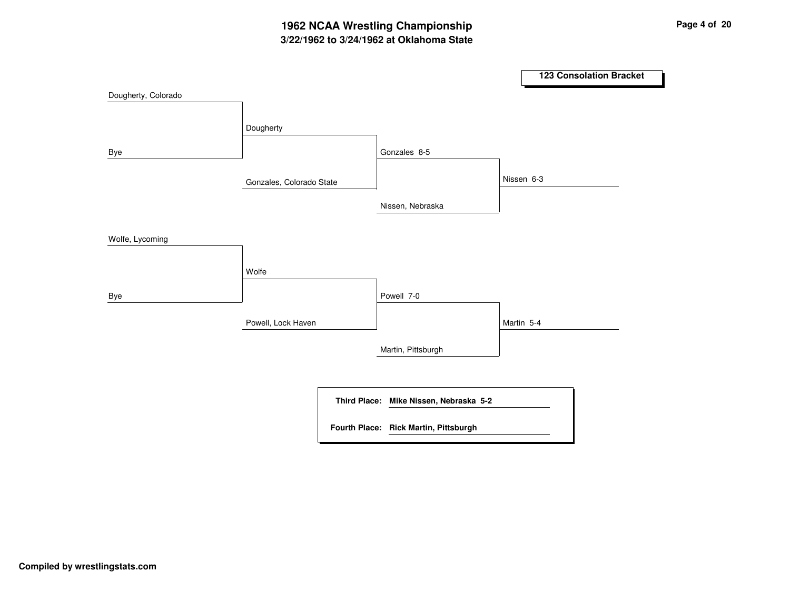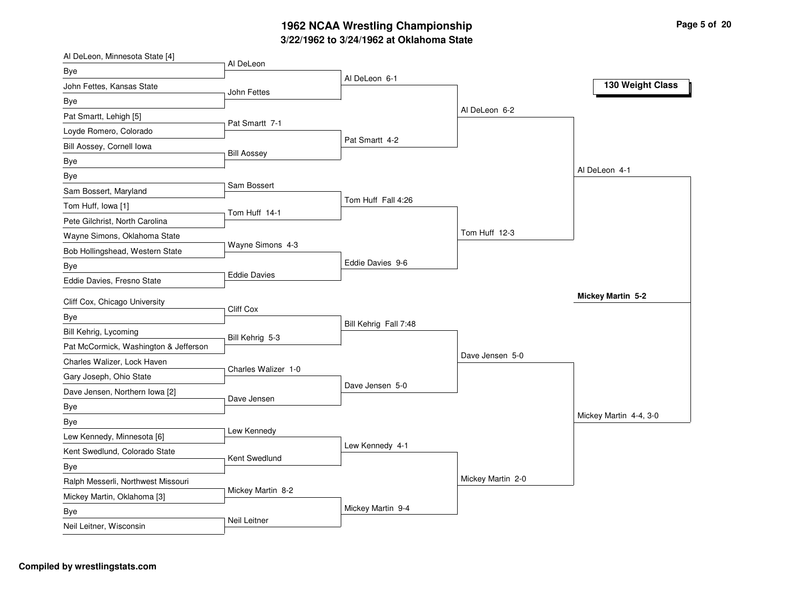| Al DeLeon, Minnesota State [4]        | Al DeLeon           |                       |                   |                          |
|---------------------------------------|---------------------|-----------------------|-------------------|--------------------------|
| Bye                                   |                     | Al DeLeon 6-1         |                   |                          |
| John Fettes, Kansas State             | John Fettes         |                       |                   | 130 Weight Class         |
| Bye                                   |                     |                       |                   |                          |
| Pat Smartt, Lehigh [5]                | Pat Smartt 7-1      |                       | Al DeLeon 6-2     |                          |
| Loyde Romero, Colorado                |                     |                       |                   |                          |
| Bill Aossey, Cornell Iowa             | <b>Bill Aossey</b>  | Pat Smartt 4-2        |                   |                          |
| Bye                                   |                     |                       |                   |                          |
| <b>Bye</b>                            |                     |                       |                   | Al DeLeon 4-1            |
| Sam Bossert, Maryland                 | Sam Bossert         |                       |                   |                          |
| Tom Huff, Iowa [1]                    | Tom Huff 14-1       | Tom Huff Fall 4:26    |                   |                          |
| Pete Gilchrist, North Carolina        |                     |                       |                   |                          |
| Wayne Simons, Oklahoma State          |                     |                       | Tom Huff 12-3     |                          |
| Bob Hollingshead, Western State       | Wayne Simons 4-3    |                       |                   |                          |
| Bye                                   |                     | Eddie Davies 9-6      |                   |                          |
| Eddie Davies, Fresno State            | <b>Eddie Davies</b> |                       |                   |                          |
| Cliff Cox, Chicago University         |                     |                       |                   | <b>Mickey Martin 5-2</b> |
| Bye                                   | Cliff Cox           |                       |                   |                          |
| Bill Kehrig, Lycoming                 |                     | Bill Kehrig Fall 7:48 |                   |                          |
| Pat McCormick, Washington & Jefferson | Bill Kehrig 5-3     |                       |                   |                          |
| Charles Walizer, Lock Haven           |                     |                       | Dave Jensen 5-0   |                          |
| Gary Joseph, Ohio State               | Charles Walizer 1-0 |                       |                   |                          |
| Dave Jensen, Northern Iowa [2]        |                     | Dave Jensen 5-0       |                   |                          |
| Bye                                   | Dave Jensen         |                       |                   |                          |
| Bye                                   |                     |                       |                   | Mickey Martin 4-4, 3-0   |
| Lew Kennedy, Minnesota [6]            | Lew Kennedy         |                       |                   |                          |
| Kent Swedlund, Colorado State         |                     | Lew Kennedy 4-1       |                   |                          |
| Bye                                   | Kent Swedlund       |                       |                   |                          |
| Ralph Messerli, Northwest Missouri    |                     |                       | Mickey Martin 2-0 |                          |
| Mickey Martin, Oklahoma [3]           | Mickey Martin 8-2   |                       |                   |                          |
| Bye                                   |                     | Mickey Martin 9-4     |                   |                          |
|                                       |                     |                       |                   |                          |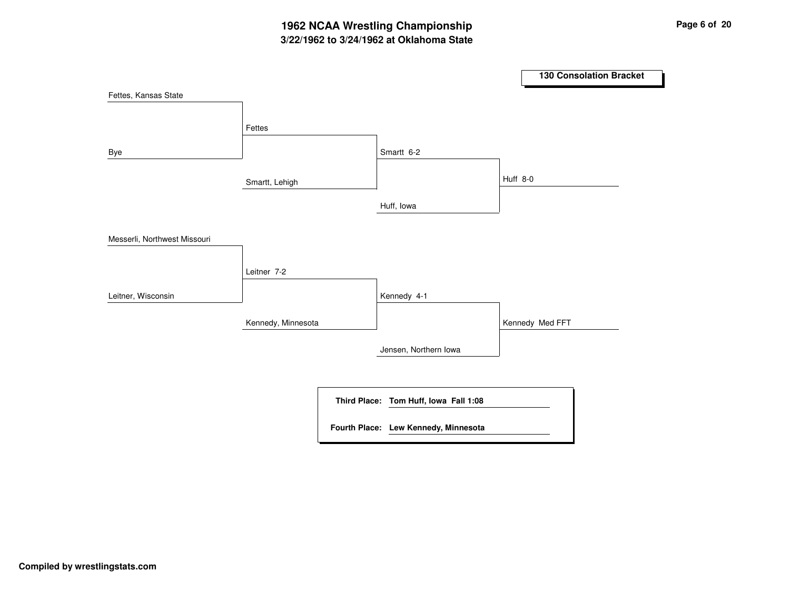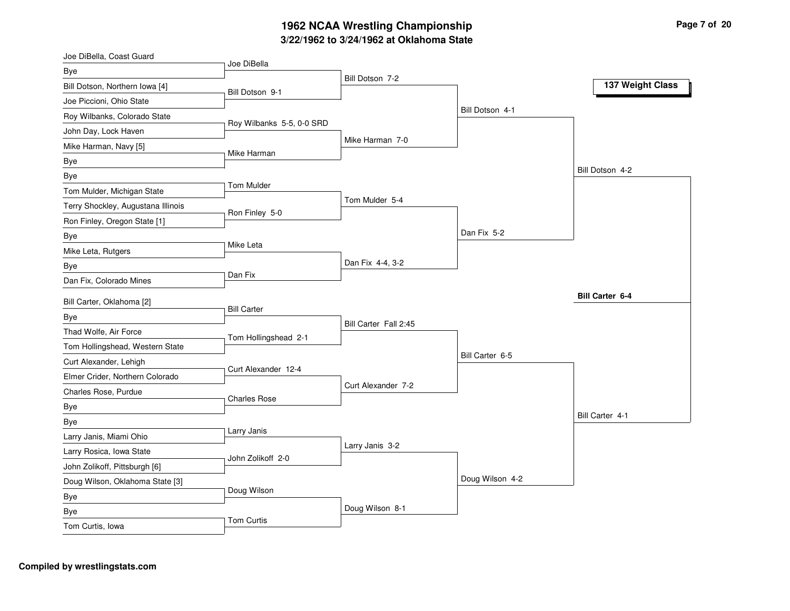| Joe DiBella, Coast Guard                                                                                                                                  |                           |                       |                 |                  |
|-----------------------------------------------------------------------------------------------------------------------------------------------------------|---------------------------|-----------------------|-----------------|------------------|
| Bye                                                                                                                                                       | Joe DiBella               | Bill Dotson 7-2       |                 |                  |
| Bill Dotson, Northern Iowa [4]                                                                                                                            | Bill Dotson 9-1           |                       |                 | 137 Weight Class |
| Joe Piccioni, Ohio State                                                                                                                                  |                           |                       |                 |                  |
| Roy Wilbanks, Colorado State                                                                                                                              |                           |                       | Bill Dotson 4-1 |                  |
| John Day, Lock Haven                                                                                                                                      | Roy Wilbanks 5-5, 0-0 SRD |                       |                 |                  |
| Mike Harman, Navy [5]                                                                                                                                     |                           | Mike Harman 7-0       |                 |                  |
| Bye                                                                                                                                                       | Mike Harman               |                       |                 |                  |
| <b>Bye</b>                                                                                                                                                |                           |                       |                 | Bill Dotson 4-2  |
| Tom Mulder, Michigan State                                                                                                                                | Tom Mulder                |                       |                 |                  |
| Terry Shockley, Augustana Illinois                                                                                                                        |                           | Tom Mulder 5-4        |                 |                  |
| Ron Finley, Oregon State [1]                                                                                                                              | Ron Finley 5-0            |                       |                 |                  |
| Bye                                                                                                                                                       |                           |                       | Dan Fix 5-2     |                  |
| Mike Leta, Rutgers                                                                                                                                        | Mike Leta                 |                       |                 |                  |
| Bye                                                                                                                                                       |                           | Dan Fix 4-4, 3-2      |                 |                  |
| Dan Fix, Colorado Mines                                                                                                                                   | Dan Fix                   |                       |                 |                  |
| Bill Carter, Oklahoma [2]                                                                                                                                 |                           |                       |                 | Bill Carter 6-4  |
| Bye                                                                                                                                                       | <b>Bill Carter</b>        |                       |                 |                  |
| Thad Wolfe, Air Force                                                                                                                                     |                           | Bill Carter Fall 2:45 |                 |                  |
| Tom Hollingshead, Western State                                                                                                                           | Tom Hollingshead 2-1      |                       |                 |                  |
| Curt Alexander, Lehigh                                                                                                                                    |                           |                       | Bill Carter 6-5 |                  |
| Elmer Crider, Northern Colorado                                                                                                                           | Curt Alexander 12-4       |                       |                 |                  |
| Charles Rose, Purdue                                                                                                                                      |                           | Curt Alexander 7-2    |                 |                  |
| Bye                                                                                                                                                       | <b>Charles Rose</b>       |                       |                 |                  |
| Bye                                                                                                                                                       |                           |                       |                 | Bill Carter 4-1  |
|                                                                                                                                                           | Larry Janis               |                       |                 |                  |
|                                                                                                                                                           |                           | Larry Janis 3-2       |                 |                  |
|                                                                                                                                                           | John Zolikoff 2-0         |                       |                 |                  |
|                                                                                                                                                           |                           |                       |                 |                  |
|                                                                                                                                                           | Doug Wilson               |                       |                 |                  |
|                                                                                                                                                           |                           | Doug Wilson 8-1       |                 |                  |
|                                                                                                                                                           | Tom Curtis                |                       |                 |                  |
| Larry Janis, Miami Ohio<br>Larry Rosica, Iowa State<br>John Zolikoff, Pittsburgh [6]<br>Doug Wilson, Oklahoma State [3]<br>Bye<br>Bye<br>Tom Curtis, Iowa |                           |                       | Doug Wilson 4-2 |                  |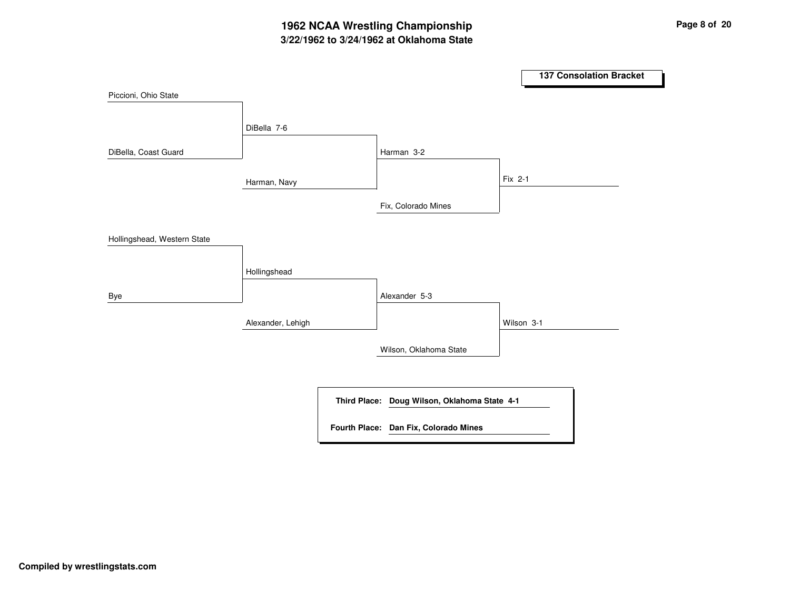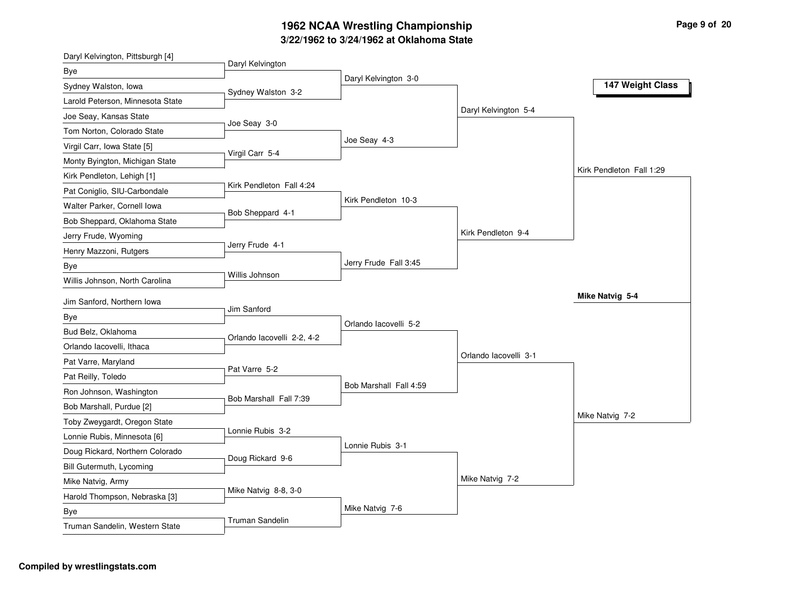| Daryl Kelvington, Pittsburgh [4] |                            |                        |                       |                          |
|----------------------------------|----------------------------|------------------------|-----------------------|--------------------------|
| Bye                              | Daryl Kelvington           | Daryl Kelvington 3-0   |                       |                          |
| Sydney Walston, Iowa             | Sydney Walston 3-2         |                        |                       | 147 Weight Class         |
| Larold Peterson, Minnesota State |                            |                        |                       |                          |
| Joe Seay, Kansas State           | Joe Seay 3-0               |                        | Daryl Kelvington 5-4  |                          |
| Tom Norton, Colorado State       |                            |                        |                       |                          |
| Virgil Carr, Iowa State [5]      | Virgil Carr 5-4            | Joe Seay 4-3           |                       |                          |
| Monty Byington, Michigan State   |                            |                        |                       |                          |
| Kirk Pendleton, Lehigh [1]       |                            |                        |                       | Kirk Pendleton Fall 1:29 |
| Pat Coniglio, SIU-Carbondale     | Kirk Pendleton Fall 4:24   |                        |                       |                          |
| Walter Parker, Cornell Iowa      | Bob Sheppard 4-1           | Kirk Pendleton 10-3    |                       |                          |
| Bob Sheppard, Oklahoma State     |                            |                        |                       |                          |
| Jerry Frude, Wyoming             |                            |                        | Kirk Pendleton 9-4    |                          |
| Henry Mazzoni, Rutgers           | Jerry Frude 4-1            |                        |                       |                          |
| Bye                              |                            | Jerry Frude Fall 3:45  |                       |                          |
| Willis Johnson, North Carolina   | Willis Johnson             |                        |                       |                          |
| Jim Sanford, Northern Iowa       |                            |                        |                       | Mike Natvig 5-4          |
| Bye                              | Jim Sanford                |                        |                       |                          |
| Bud Belz, Oklahoma               |                            | Orlando Iacovelli 5-2  |                       |                          |
| Orlando lacovelli, Ithaca        | Orlando lacovelli 2-2, 4-2 |                        |                       |                          |
| Pat Varre, Maryland              |                            |                        | Orlando Iacovelli 3-1 |                          |
| Pat Reilly, Toledo               | Pat Varre 5-2              |                        |                       |                          |
| Ron Johnson, Washington          |                            | Bob Marshall Fall 4:59 |                       |                          |
| Bob Marshall, Purdue [2]         | Bob Marshall Fall 7:39     |                        |                       |                          |
| Toby Zweygardt, Oregon State     |                            |                        |                       | Mike Natvig 7-2          |
| Lonnie Rubis, Minnesota [6]      | Lonnie Rubis 3-2           |                        |                       |                          |
| Doug Rickard, Northern Colorado  |                            | Lonnie Rubis 3-1       |                       |                          |
| Bill Gutermuth, Lycoming         | Doug Rickard 9-6           |                        |                       |                          |
| Mike Natvig, Army                |                            |                        | Mike Natvig 7-2       |                          |
| Harold Thompson, Nebraska [3]    | Mike Natvig 8-8, 3-0       |                        |                       |                          |
| Bye                              |                            | Mike Natvig 7-6        |                       |                          |
| Truman Sandelin, Western State   | <b>Truman Sandelin</b>     |                        |                       |                          |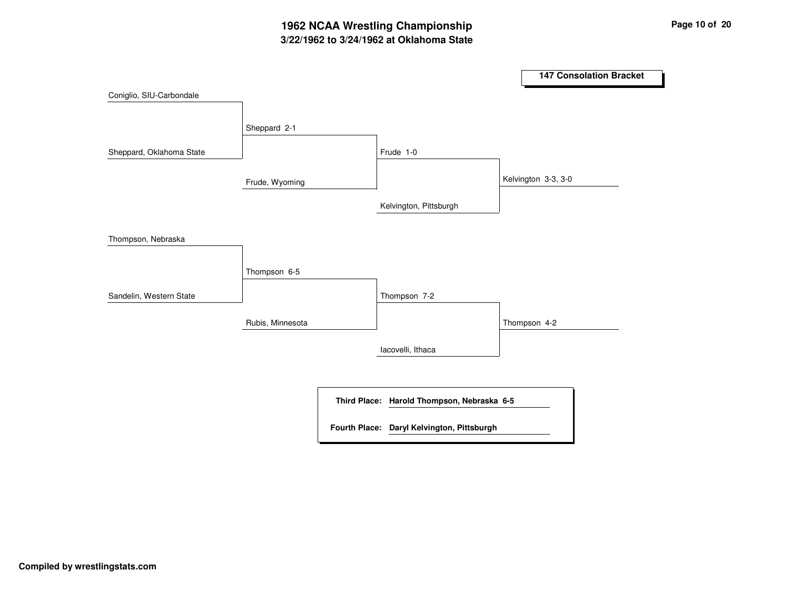# **3/22/1962 to 3/24/1962 at Oklahoma State 1962 NCAA Wrestling Championship Page <sup>10</sup> of <sup>20</sup>**

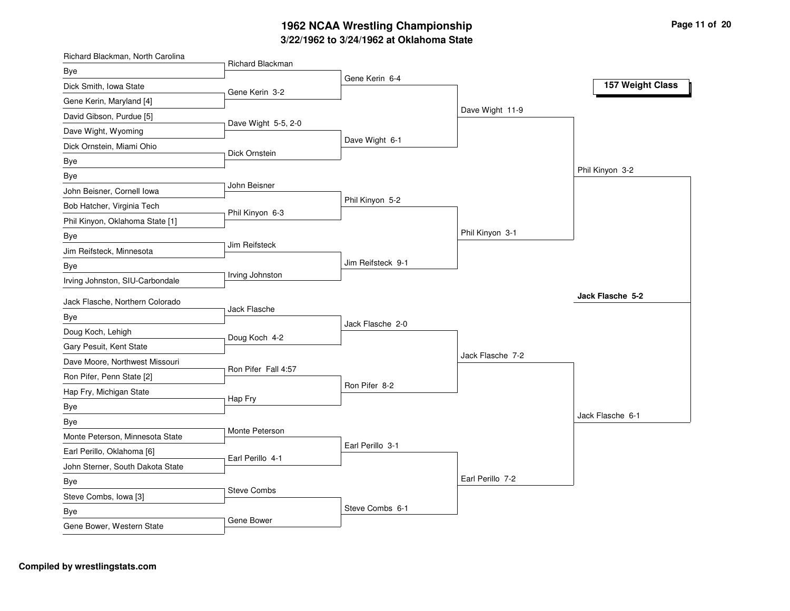| Richard Blackman, North Carolina |                     |                   |                  |                  |
|----------------------------------|---------------------|-------------------|------------------|------------------|
| Bye                              | Richard Blackman    | Gene Kerin 6-4    |                  |                  |
| Dick Smith, Iowa State           | Gene Kerin 3-2      |                   |                  | 157 Weight Class |
| Gene Kerin, Maryland [4]         |                     |                   |                  |                  |
| David Gibson, Purdue [5]         |                     |                   | Dave Wight 11-9  |                  |
| Dave Wight, Wyoming              | Dave Wight 5-5, 2-0 |                   |                  |                  |
| Dick Ornstein, Miami Ohio        |                     | Dave Wight 6-1    |                  |                  |
| Bye                              | Dick Ornstein       |                   |                  |                  |
| Bye                              |                     |                   |                  | Phil Kinyon 3-2  |
| John Beisner, Cornell Iowa       | John Beisner        |                   |                  |                  |
| Bob Hatcher, Virginia Tech       |                     | Phil Kinyon 5-2   |                  |                  |
| Phil Kinyon, Oklahoma State [1]  | Phil Kinyon 6-3     |                   |                  |                  |
| Bye                              |                     |                   | Phil Kinyon 3-1  |                  |
| Jim Reifsteck, Minnesota         | Jim Reifsteck       |                   |                  |                  |
| Bye                              |                     | Jim Reifsteck 9-1 |                  |                  |
| Irving Johnston, SIU-Carbondale  | Irving Johnston     |                   |                  |                  |
| Jack Flasche, Northern Colorado  |                     |                   |                  | Jack Flasche 5-2 |
| <b>Bye</b>                       | Jack Flasche        |                   |                  |                  |
| Doug Koch, Lehigh                |                     | Jack Flasche 2-0  |                  |                  |
| Gary Pesuit, Kent State          | Doug Koch 4-2       |                   |                  |                  |
| Dave Moore, Northwest Missouri   |                     |                   | Jack Flasche 7-2 |                  |
|                                  | Ron Pifer Fall 4:57 |                   |                  |                  |
| Ron Pifer, Penn State [2]        |                     | Ron Pifer 8-2     |                  |                  |
| Hap Fry, Michigan State          | Hap Fry             |                   |                  |                  |
| Bye                              |                     |                   |                  | Jack Flasche 6-1 |
| Bye                              | Monte Peterson      |                   |                  |                  |
| Monte Peterson, Minnesota State  |                     | Earl Perillo 3-1  |                  |                  |
| Earl Perillo, Oklahoma [6]       | Earl Perillo 4-1    |                   |                  |                  |
| John Sterner, South Dakota State |                     |                   | Earl Perillo 7-2 |                  |
| <b>Bye</b>                       | <b>Steve Combs</b>  |                   |                  |                  |
| Steve Combs, Iowa [3]            |                     | Steve Combs 6-1   |                  |                  |
| Bye                              | Gene Bower          |                   |                  |                  |
| Gene Bower, Western State        |                     |                   |                  |                  |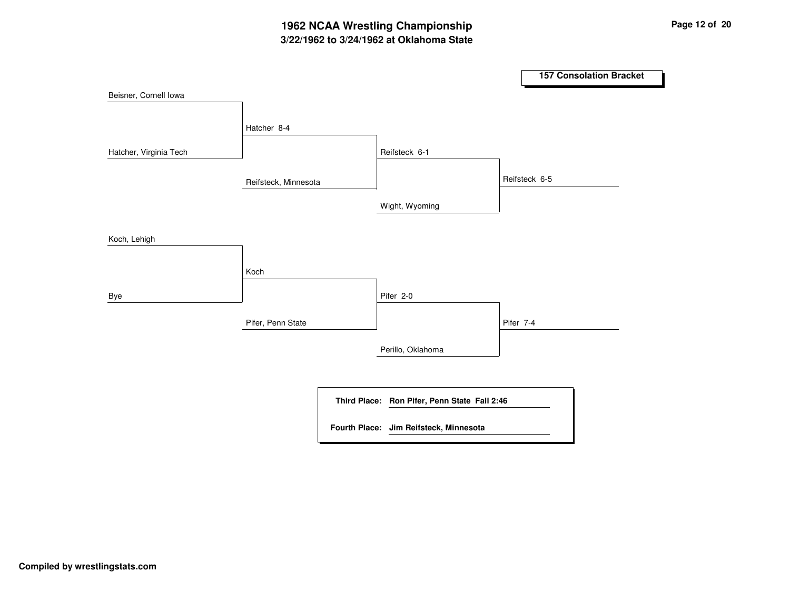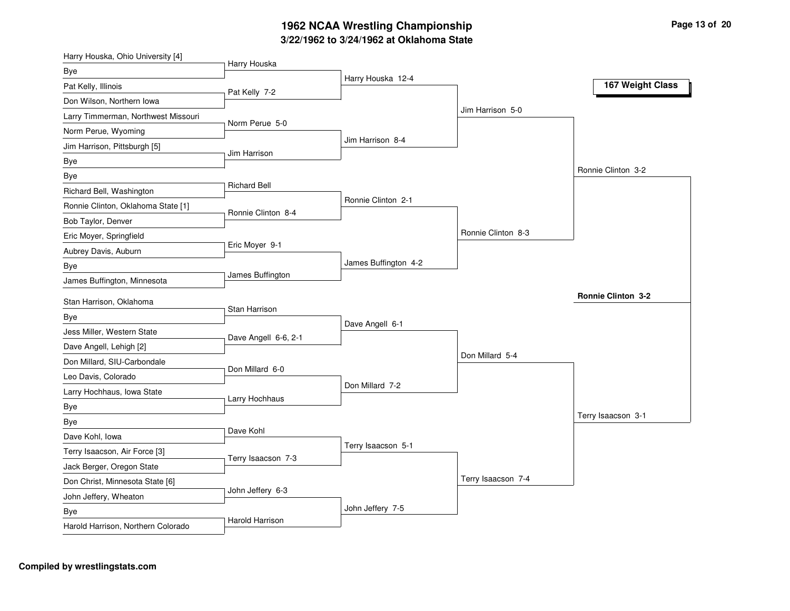| Harry Houska, Ohio University [4]         |                      |                      |                    |                    |
|-------------------------------------------|----------------------|----------------------|--------------------|--------------------|
| Bye                                       | Harry Houska         | Harry Houska 12-4    |                    |                    |
| Pat Kelly, Illinois                       | Pat Kelly 7-2        |                      |                    | 167 Weight Class   |
| Don Wilson, Northern Iowa                 |                      |                      |                    |                    |
| Larry Timmerman, Northwest Missouri       | Norm Perue 5-0       |                      | Jim Harrison 5-0   |                    |
| Norm Perue, Wyoming                       |                      |                      |                    |                    |
| Jim Harrison, Pittsburgh [5]              | Jim Harrison         | Jim Harrison 8-4     |                    |                    |
| Bye                                       |                      |                      |                    |                    |
| <b>Bye</b>                                |                      |                      |                    | Ronnie Clinton 3-2 |
| Richard Bell, Washington                  | <b>Richard Bell</b>  |                      |                    |                    |
| Ronnie Clinton, Oklahoma State [1]        | Ronnie Clinton 8-4   | Ronnie Clinton 2-1   |                    |                    |
| Bob Taylor, Denver                        |                      |                      |                    |                    |
| Eric Moyer, Springfield                   |                      |                      | Ronnie Clinton 8-3 |                    |
| Aubrey Davis, Auburn                      | Eric Moyer 9-1       |                      |                    |                    |
| Bye                                       |                      | James Buffington 4-2 |                    |                    |
| James Buffington, Minnesota               | James Buffington     |                      |                    |                    |
|                                           |                      |                      |                    |                    |
|                                           |                      |                      |                    | Ronnie Clinton 3-2 |
| Stan Harrison, Oklahoma                   | Stan Harrison        |                      |                    |                    |
| Bye                                       |                      | Dave Angell 6-1      |                    |                    |
| Jess Miller, Western State                | Dave Angell 6-6, 2-1 |                      |                    |                    |
| Dave Angell, Lehigh [2]                   |                      |                      | Don Millard 5-4    |                    |
| Don Millard, SIU-Carbondale               | Don Millard 6-0      |                      |                    |                    |
| Leo Davis, Colorado                       |                      | Don Millard 7-2      |                    |                    |
| Larry Hochhaus, Iowa State                | Larry Hochhaus       |                      |                    |                    |
| Bye                                       |                      |                      |                    | Terry Isaacson 3-1 |
| <b>Bye</b>                                | Dave Kohl            |                      |                    |                    |
| Dave Kohl, Iowa                           |                      | Terry Isaacson 5-1   |                    |                    |
| Terry Isaacson, Air Force [3]             | Terry Isaacson 7-3   |                      |                    |                    |
| Jack Berger, Oregon State                 |                      |                      |                    |                    |
| Don Christ, Minnesota State [6]           | John Jeffery 6-3     |                      | Terry Isaacson 7-4 |                    |
| John Jeffery, Wheaton                     |                      |                      |                    |                    |
| Bye<br>Harold Harrison, Northern Colorado | Harold Harrison      | John Jeffery 7-5     |                    |                    |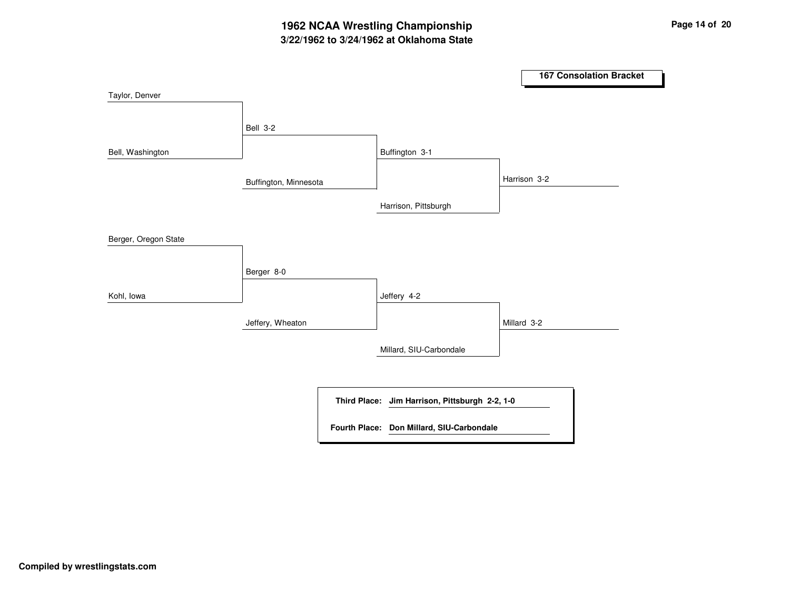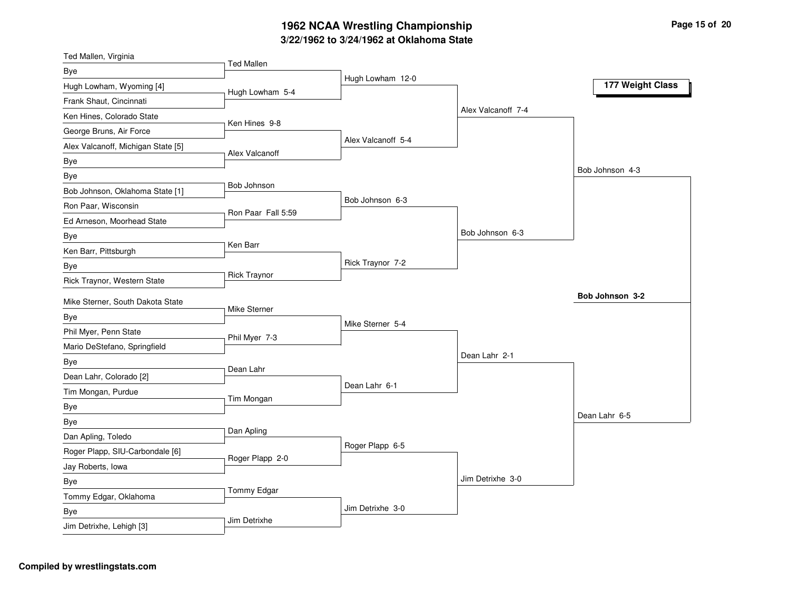| Ted Mallen, Virginia               |                     |                    |                    |                  |
|------------------------------------|---------------------|--------------------|--------------------|------------------|
| Bye                                | <b>Ted Mallen</b>   |                    |                    |                  |
| Hugh Lowham, Wyoming [4]           | Hugh Lowham 5-4     | Hugh Lowham 12-0   |                    | 177 Weight Class |
| Frank Shaut, Cincinnati            |                     |                    |                    |                  |
| Ken Hines, Colorado State          | Ken Hines 9-8       |                    | Alex Valcanoff 7-4 |                  |
| George Bruns, Air Force            |                     |                    |                    |                  |
| Alex Valcanoff, Michigan State [5] | Alex Valcanoff      | Alex Valcanoff 5-4 |                    |                  |
| Bye                                |                     |                    |                    |                  |
| Bye                                |                     |                    |                    | Bob Johnson 4-3  |
| Bob Johnson, Oklahoma State [1]    | Bob Johnson         |                    |                    |                  |
| Ron Paar, Wisconsin                | Ron Paar Fall 5:59  | Bob Johnson 6-3    |                    |                  |
| Ed Arneson, Moorhead State         |                     |                    |                    |                  |
| Bye                                |                     |                    | Bob Johnson 6-3    |                  |
| Ken Barr, Pittsburgh               | Ken Barr            |                    |                    |                  |
| Bye                                |                     | Rick Traynor 7-2   |                    |                  |
| Rick Traynor, Western State        | <b>Rick Traynor</b> |                    |                    |                  |
| Mike Sterner, South Dakota State   |                     |                    |                    | Bob Johnson 3-2  |
| Bye                                | Mike Sterner        |                    |                    |                  |
| Phil Myer, Penn State              |                     | Mike Sterner 5-4   |                    |                  |
| Mario DeStefano, Springfield       | Phil Myer 7-3       |                    |                    |                  |
| Bye                                |                     |                    | Dean Lahr 2-1      |                  |
| Dean Lahr, Colorado [2]            | Dean Lahr           |                    |                    |                  |
| Tim Mongan, Purdue                 |                     | Dean Lahr 6-1      |                    |                  |
| Bye                                | Tim Mongan          |                    |                    |                  |
| Bye                                |                     |                    |                    | Dean Lahr 6-5    |
| Dan Apling, Toledo                 | Dan Apling          |                    |                    |                  |
| Roger Plapp, SIU-Carbondale [6]    |                     | Roger Plapp 6-5    |                    |                  |
| Jay Roberts, Iowa                  | Roger Plapp 2-0     |                    |                    |                  |
| Bye                                |                     |                    | Jim Detrixhe 3-0   |                  |
| Tommy Edgar, Oklahoma              | Tommy Edgar         |                    |                    |                  |
| Bye                                |                     | Jim Detrixhe 3-0   |                    |                  |
|                                    | Jim Detrixhe        |                    |                    |                  |
| Jim Detrixhe, Lehigh [3]           |                     |                    |                    |                  |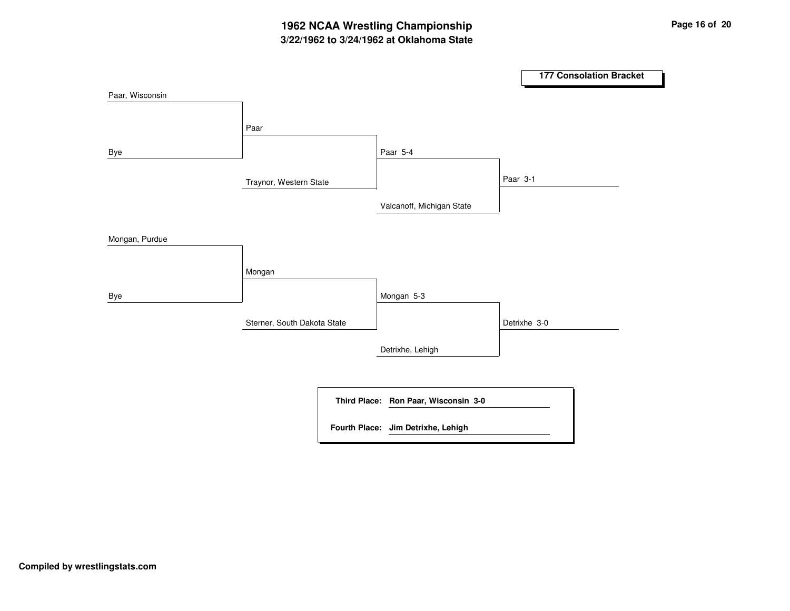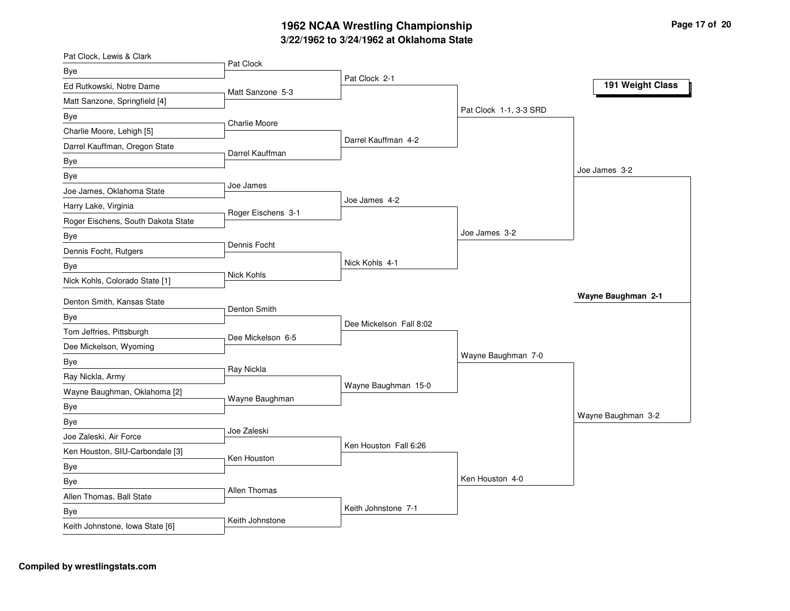| Pat Clock, Lewis & Clark               | Pat Clock            |                         |                        |                    |
|----------------------------------------|----------------------|-------------------------|------------------------|--------------------|
| Bye                                    |                      | Pat Clock 2-1           |                        |                    |
| Ed Rutkowski, Notre Dame               | Matt Sanzone 5-3     |                         |                        | 191 Weight Class   |
| Matt Sanzone, Springfield [4]          |                      |                         |                        |                    |
| Bye                                    | <b>Charlie Moore</b> |                         | Pat Clock 1-1, 3-3 SRD |                    |
| Charlie Moore, Lehigh [5]              |                      |                         |                        |                    |
| Darrel Kauffman, Oregon State          | Darrel Kauffman      | Darrel Kauffman 4-2     |                        |                    |
| Bye                                    |                      |                         |                        |                    |
| Bye                                    |                      |                         |                        | Joe James 3-2      |
| Joe James, Oklahoma State              | Joe James            |                         |                        |                    |
| Harry Lake, Virginia                   |                      | Joe James 4-2           |                        |                    |
| Roger Eischens, South Dakota State     | Roger Eischens 3-1   |                         |                        |                    |
| Bye                                    |                      |                         | Joe James 3-2          |                    |
| Dennis Focht, Rutgers                  | Dennis Focht         |                         |                        |                    |
| Bye                                    |                      | Nick Kohls 4-1          |                        |                    |
| Nick Kohls, Colorado State [1]         | Nick Kohls           |                         |                        |                    |
|                                        |                      |                         |                        |                    |
|                                        |                      |                         |                        | Wayne Baughman 2-1 |
| Denton Smith, Kansas State             | Denton Smith         |                         |                        |                    |
| Bye                                    |                      | Dee Mickelson Fall 8:02 |                        |                    |
| Tom Jeffries, Pittsburgh               | Dee Mickelson 6-5    |                         |                        |                    |
| Dee Mickelson, Wyoming                 |                      |                         | Wayne Baughman 7-0     |                    |
| Bye                                    | Ray Nickla           |                         |                        |                    |
| Ray Nickla, Army                       |                      | Wayne Baughman 15-0     |                        |                    |
| Wayne Baughman, Oklahoma [2]           | Wayne Baughman       |                         |                        |                    |
| Bye                                    |                      |                         |                        | Wayne Baughman 3-2 |
| Bye                                    | Joe Zaleski          |                         |                        |                    |
| Joe Zaleski, Air Force                 |                      | Ken Houston Fall 6:26   |                        |                    |
| Ken Houston, SIU-Carbondale [3]        | Ken Houston          |                         |                        |                    |
| Bye                                    |                      |                         |                        |                    |
| Bye                                    | Allen Thomas         |                         | Ken Houston 4-0        |                    |
| Allen Thomas, Ball State               |                      |                         |                        |                    |
| Bye<br>Keith Johnstone, Iowa State [6] | Keith Johnstone      | Keith Johnstone 7-1     |                        |                    |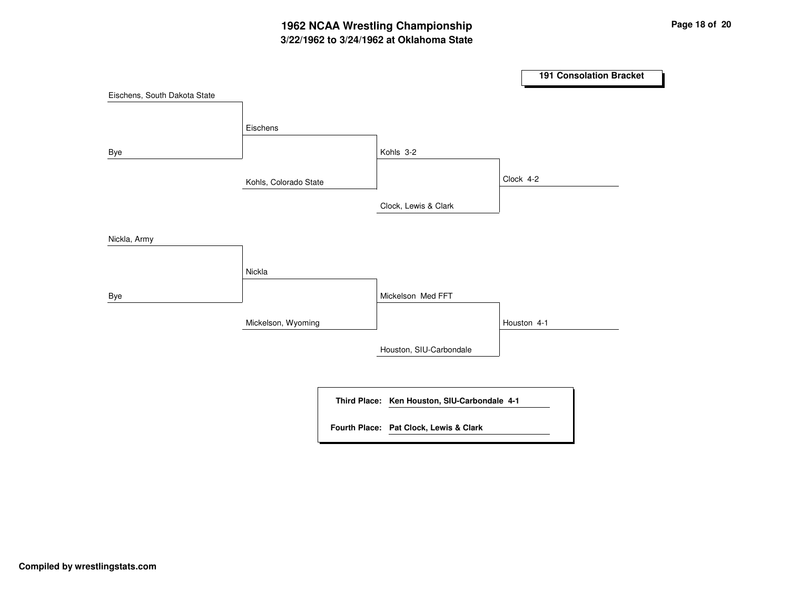# **3/22/1962 to 3/24/1962 at Oklahoma State 1962 NCAA Wrestling Championship Page <sup>18</sup> of <sup>20</sup>**

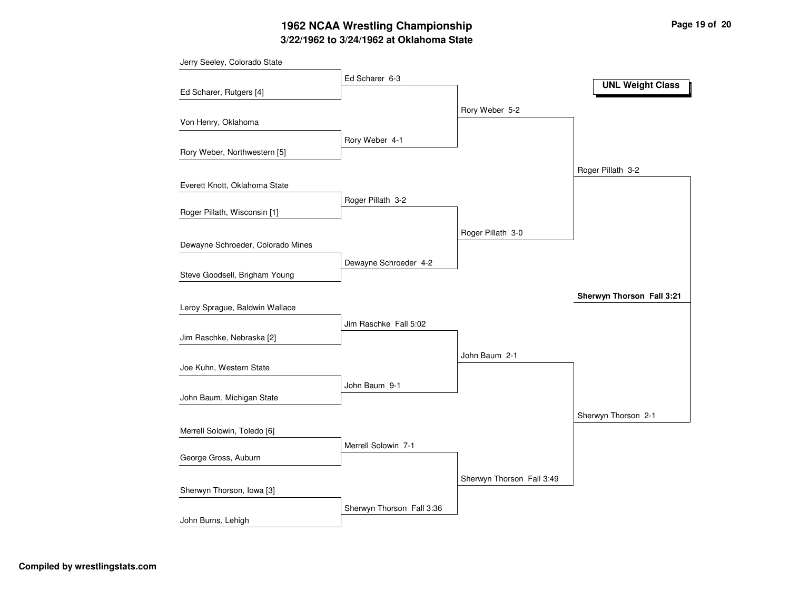# **3/22/1962 to 3/24/1962 at Oklahoma State 1962 NCAA Wrestling Championship Page <sup>19</sup> of <sup>20</sup>**

| Jerry Seeley, Colorado State      |                           |                           |                           |
|-----------------------------------|---------------------------|---------------------------|---------------------------|
|                                   | Ed Scharer 6-3            |                           | <b>UNL Weight Class</b>   |
| Ed Scharer, Rutgers [4]           |                           |                           |                           |
|                                   |                           | Rory Weber 5-2            |                           |
| Von Henry, Oklahoma               |                           |                           |                           |
|                                   | Rory Weber 4-1            |                           |                           |
| Rory Weber, Northwestern [5]      |                           |                           |                           |
|                                   |                           |                           | Roger Pillath 3-2         |
| Everett Knott, Oklahoma State     |                           |                           |                           |
|                                   | Roger Pillath 3-2         |                           |                           |
| Roger Pillath, Wisconsin [1]      |                           |                           |                           |
|                                   |                           | Roger Pillath 3-0         |                           |
| Dewayne Schroeder, Colorado Mines |                           |                           |                           |
|                                   | Dewayne Schroeder 4-2     |                           |                           |
| Steve Goodsell, Brigham Young     |                           |                           |                           |
|                                   |                           |                           | Sherwyn Thorson Fall 3:21 |
| Leroy Sprague, Baldwin Wallace    |                           |                           |                           |
|                                   | Jim Raschke Fall 5:02     |                           |                           |
| Jim Raschke, Nebraska [2]         |                           |                           |                           |
|                                   |                           | John Baum 2-1             |                           |
| Joe Kuhn, Western State           |                           |                           |                           |
|                                   | John Baum 9-1             |                           |                           |
| John Baum, Michigan State         |                           |                           |                           |
|                                   |                           |                           | Sherwyn Thorson 2-1       |
| Merrell Solowin, Toledo [6]       |                           |                           |                           |
|                                   |                           |                           |                           |
|                                   | Merrell Solowin 7-1       |                           |                           |
| George Gross, Auburn              |                           |                           |                           |
|                                   |                           | Sherwyn Thorson Fall 3:49 |                           |
| Sherwyn Thorson, Iowa [3]         |                           |                           |                           |
| John Burns, Lehigh                | Sherwyn Thorson Fall 3:36 |                           |                           |